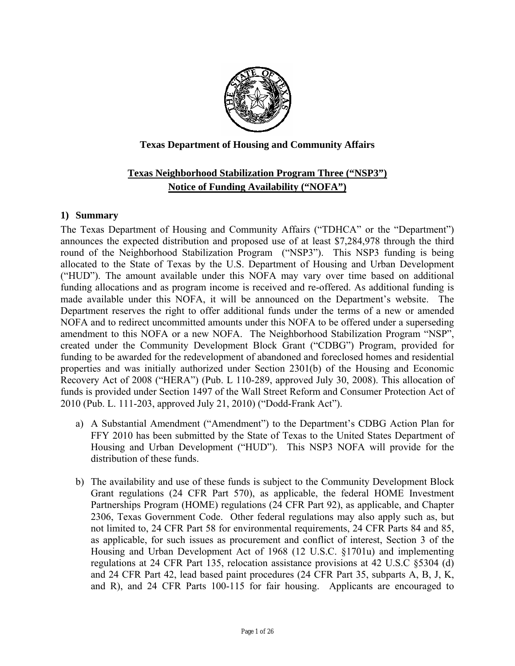

### **Texas Department of Housing and Community Affairs**

# **Texas Neighborhood Stabilization Program Three ("NSP3") Notice of Funding Availability ("NOFA")**

#### **1) Summary**

The Texas Department of Housing and Community Affairs ("TDHCA" or the "Department") announces the expected distribution and proposed use of at least \$7,284,978 through the third round of the Neighborhood Stabilization Program ("NSP3"). This NSP3 funding is being allocated to the State of Texas by the U.S. Department of Housing and Urban Development ("HUD"). The amount available under this NOFA may vary over time based on additional funding allocations and as program income is received and re-offered. As additional funding is made available under this NOFA, it will be announced on the Department's website. The Department reserves the right to offer additional funds under the terms of a new or amended NOFA and to redirect uncommitted amounts under this NOFA to be offered under a superseding amendment to this NOFA or a new NOFA. The Neighborhood Stabilization Program "NSP", created under the Community Development Block Grant ("CDBG") Program, provided for funding to be awarded for the redevelopment of abandoned and foreclosed homes and residential properties and was initially authorized under Section 2301(b) of the Housing and Economic Recovery Act of 2008 ("HERA") (Pub. L 110-289, approved July 30, 2008). This allocation of funds is provided under Section 1497 of the Wall Street Reform and Consumer Protection Act of 2010 (Pub. L. 111-203, approved July 21, 2010) ("Dodd-Frank Act").

- a) A Substantial Amendment ("Amendment") to the Department's CDBG Action Plan for FFY 2010 has been submitted by the State of Texas to the United States Department of Housing and Urban Development ("HUD"). This NSP3 NOFA will provide for the distribution of these funds.
- b) The availability and use of these funds is subject to the Community Development Block Grant regulations (24 CFR Part 570), as applicable, the federal HOME Investment Partnerships Program (HOME) regulations (24 CFR Part 92), as applicable, and Chapter 2306, Texas Government Code. Other federal regulations may also apply such as, but not limited to, 24 CFR Part 58 for environmental requirements, 24 CFR Parts 84 and 85, as applicable, for such issues as procurement and conflict of interest, Section 3 of the Housing and Urban Development Act of 1968 (12 U.S.C. §1701u) and implementing regulations at 24 CFR Part 135, relocation assistance provisions at 42 U.S.C §5304 (d) and 24 CFR Part 42, lead based paint procedures (24 CFR Part 35, subparts A, B, J, K, and R), and 24 CFR Parts 100-115 for fair housing. Applicants are encouraged to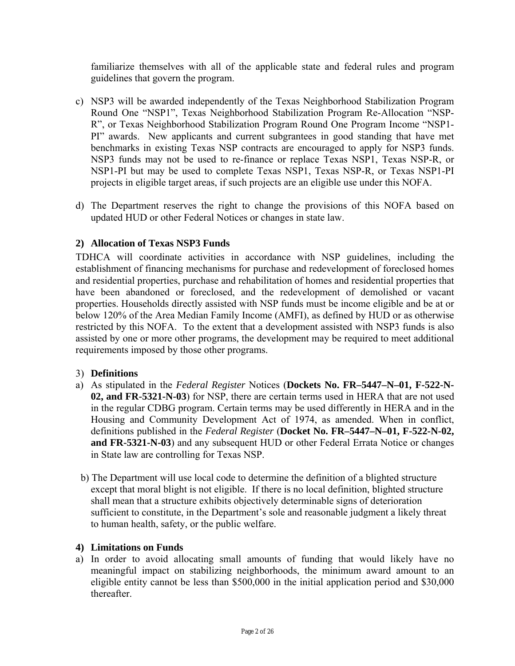familiarize themselves with all of the applicable state and federal rules and program guidelines that govern the program.

- c) NSP3 will be awarded independently of the Texas Neighborhood Stabilization Program Round One "NSP1", Texas Neighborhood Stabilization Program Re-Allocation "NSP-R", or Texas Neighborhood Stabilization Program Round One Program Income "NSP1- PI" awards. New applicants and current subgrantees in good standing that have met benchmarks in existing Texas NSP contracts are encouraged to apply for NSP3 funds. NSP3 funds may not be used to re-finance or replace Texas NSP1, Texas NSP-R, or NSP1-PI but may be used to complete Texas NSP1, Texas NSP-R, or Texas NSP1-PI projects in eligible target areas, if such projects are an eligible use under this NOFA.
- d) The Department reserves the right to change the provisions of this NOFA based on updated HUD or other Federal Notices or changes in state law.

### **2) Allocation of Texas NSP3 Funds**

TDHCA will coordinate activities in accordance with NSP guidelines, including the establishment of financing mechanisms for purchase and redevelopment of foreclosed homes and residential properties, purchase and rehabilitation of homes and residential properties that have been abandoned or foreclosed, and the redevelopment of demolished or vacant properties. Households directly assisted with NSP funds must be income eligible and be at or below 120% of the Area Median Family Income (AMFI), as defined by HUD or as otherwise restricted by this NOFA. To the extent that a development assisted with NSP3 funds is also assisted by one or more other programs, the development may be required to meet additional requirements imposed by those other programs.

### 3) **Definitions**

- a) As stipulated in the *Federal Register* Notices (**Dockets No. FR–5447–N–01, F-522-N-02, and FR-5321-N-03**) for NSP, there are certain terms used in HERA that are not used in the regular CDBG program. Certain terms may be used differently in HERA and in the Housing and Community Development Act of 1974, as amended. When in conflict, definitions published in the *Federal Register* (**Docket No. FR–5447–N–01, F-522-N-02, and FR-5321-N-03**) and any subsequent HUD or other Federal Errata Notice or changes in State law are controlling for Texas NSP.
- b) The Department will use local code to determine the definition of a blighted structure except that moral blight is not eligible. If there is no local definition, blighted structure shall mean that a structure exhibits objectively determinable signs of deterioration sufficient to constitute, in the Department's sole and reasonable judgment a likely threat to human health, safety, or the public welfare.

### **4) Limitations on Funds**

a) In order to avoid allocating small amounts of funding that would likely have no meaningful impact on stabilizing neighborhoods, the minimum award amount to an eligible entity cannot be less than \$500,000 in the initial application period and \$30,000 thereafter.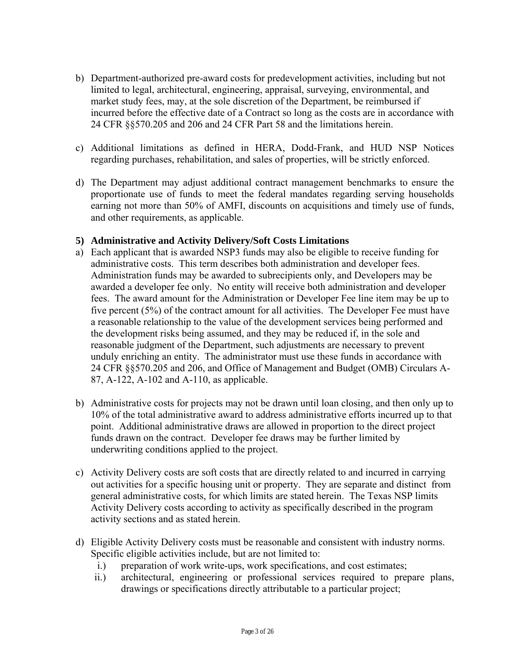- b) Department-authorized pre-award costs for predevelopment activities, including but not limited to legal, architectural, engineering, appraisal, surveying, environmental, and market study fees, may, at the sole discretion of the Department, be reimbursed if incurred before the effective date of a Contract so long as the costs are in accordance with 24 CFR §§570.205 and 206 and 24 CFR Part 58 and the limitations herein.
- c) Additional limitations as defined in HERA, Dodd-Frank, and HUD NSP Notices regarding purchases, rehabilitation, and sales of properties, will be strictly enforced.
- d) The Department may adjust additional contract management benchmarks to ensure the proportionate use of funds to meet the federal mandates regarding serving households earning not more than 50% of AMFI, discounts on acquisitions and timely use of funds, and other requirements, as applicable.

#### **5) Administrative and Activity Delivery/Soft Costs Limitations**

- a) Each applicant that is awarded NSP3 funds may also be eligible to receive funding for administrative costs. This term describes both administration and developer fees. Administration funds may be awarded to subrecipients only, and Developers may be awarded a developer fee only. No entity will receive both administration and developer fees. The award amount for the Administration or Developer Fee line item may be up to five percent (5%) of the contract amount for all activities. The Developer Fee must have a reasonable relationship to the value of the development services being performed and the development risks being assumed, and they may be reduced if, in the sole and reasonable judgment of the Department, such adjustments are necessary to prevent unduly enriching an entity. The administrator must use these funds in accordance with 24 CFR §§570.205 and 206, and Office of Management and Budget (OMB) Circulars A-87, A-122, A-102 and A-110, as applicable.
- b) Administrative costs for projects may not be drawn until loan closing, and then only up to 10% of the total administrative award to address administrative efforts incurred up to that point. Additional administrative draws are allowed in proportion to the direct project funds drawn on the contract. Developer fee draws may be further limited by underwriting conditions applied to the project.
- c) Activity Delivery costs are soft costs that are directly related to and incurred in carrying out activities for a specific housing unit or property. They are separate and distinct from general administrative costs, for which limits are stated herein. The Texas NSP limits Activity Delivery costs according to activity as specifically described in the program activity sections and as stated herein.
- d) Eligible Activity Delivery costs must be reasonable and consistent with industry norms. Specific eligible activities include, but are not limited to:
	- i.) preparation of work write-ups, work specifications, and cost estimates;
	- ii.) architectural, engineering or professional services required to prepare plans, drawings or specifications directly attributable to a particular project;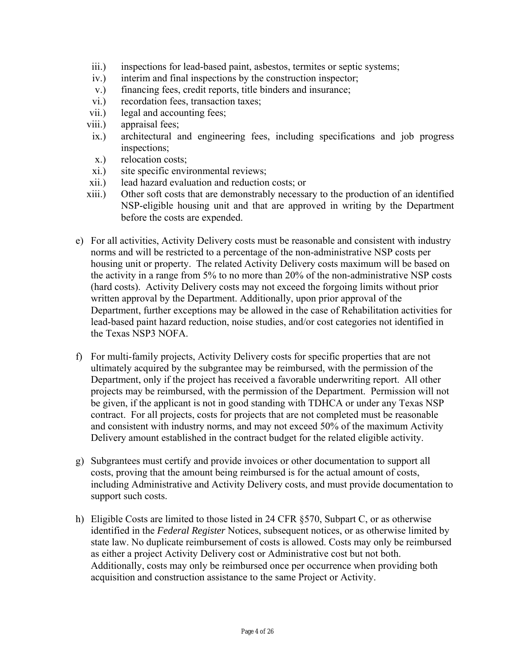- iii.) inspections for lead-based paint, asbestos, termites or septic systems;
- iv.) interim and final inspections by the construction inspector;
- v.) financing fees, credit reports, title binders and insurance;
- vi.) recordation fees, transaction taxes;
- vii.) legal and accounting fees;
- viii.) appraisal fees;
- ix.) architectural and engineering fees, including specifications and job progress inspections;
- x.) relocation costs;
- xi.) site specific environmental reviews;
- xii.) lead hazard evaluation and reduction costs; or
- xiii.) Other soft costs that are demonstrably necessary to the production of an identified NSP-eligible housing unit and that are approved in writing by the Department before the costs are expended.
- e) For all activities, Activity Delivery costs must be reasonable and consistent with industry norms and will be restricted to a percentage of the non-administrative NSP costs per housing unit or property. The related Activity Delivery costs maximum will be based on the activity in a range from 5% to no more than 20% of the non-administrative NSP costs (hard costs). Activity Delivery costs may not exceed the forgoing limits without prior written approval by the Department. Additionally, upon prior approval of the Department, further exceptions may be allowed in the case of Rehabilitation activities for lead-based paint hazard reduction, noise studies, and/or cost categories not identified in the Texas NSP3 NOFA.
- f) For multi-family projects, Activity Delivery costs for specific properties that are not ultimately acquired by the subgrantee may be reimbursed, with the permission of the Department, only if the project has received a favorable underwriting report. All other projects may be reimbursed, with the permission of the Department. Permission will not be given, if the applicant is not in good standing with TDHCA or under any Texas NSP contract. For all projects, costs for projects that are not completed must be reasonable and consistent with industry norms, and may not exceed 50% of the maximum Activity Delivery amount established in the contract budget for the related eligible activity.
- g) Subgrantees must certify and provide invoices or other documentation to support all costs, proving that the amount being reimbursed is for the actual amount of costs, including Administrative and Activity Delivery costs, and must provide documentation to support such costs.
- h) Eligible Costs are limited to those listed in 24 CFR §570, Subpart C, or as otherwise identified in the *Federal Register* Notices, subsequent notices, or as otherwise limited by state law. No duplicate reimbursement of costs is allowed. Costs may only be reimbursed as either a project Activity Delivery cost or Administrative cost but not both. Additionally, costs may only be reimbursed once per occurrence when providing both acquisition and construction assistance to the same Project or Activity.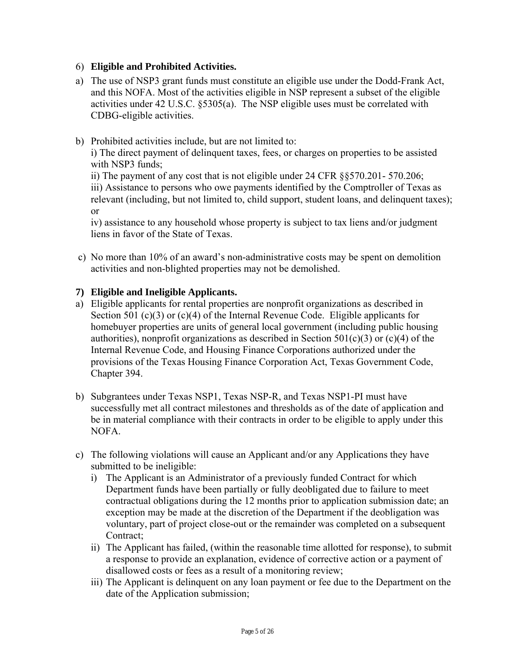# 6) **Eligible and Prohibited Activities.**

- CDBG-eligible activities. a) The use of NSP3 grant funds must constitute an eligible use under the Dodd-Frank Act, and this NOFA. Most of the activities eligible in NSP represent a subset of the eligible activities under 42 U.S.C. §5305(a). The NSP eligible uses must be correlated with
- b) Prohibited activities include, but are not limited to:

i) The direct payment of delinquent taxes, fees, or charges on properties to be assisted with NSP3 funds;

ii) The payment of any cost that is not eligible under 24 CFR §§570.201- 570.206; iii) Assistance to persons who owe payments identified by the Comptroller of Texas as relevant (including, but not limited to, child support, student loans, and delinquent taxes); or

iv) assistance to any household whose property is subject to tax liens and/or judgment liens in favor of the State of Texas.

c) No more than 10% of an award's non-administrative costs may be spent on demolition activities and non-blighted properties may not be demolished.

### **7) Eligible and Ineligible Applicants.**

- a) Eligible applicants for rental properties are nonprofit organizations as described in Section 501 (c)(3) or (c)(4) of the Internal Revenue Code. Eligible applicants for homebuyer properties are units of general local government (including public housing authorities), nonprofit organizations as described in Section 501(c)(3) or (c)(4) of the Internal Revenue Code, and Housing Finance Corporations authorized under the provisions of the Texas Housing Finance Corporation Act, Texas Government Code, Chapter 394.
- b) Subgrantees under Texas NSP1, Texas NSP-R, and Texas NSP1-PI must have successfully met all contract milestones and thresholds as of the date of application and be in material compliance with their contracts in order to be eligible to apply under this NOFA.
- c) The following violations will cause an Applicant and/or any Applications they have submitted to be ineligible:
	- i) The Applicant is an Administrator of a previously funded Contract for which Department funds have been partially or fully deobligated due to failure to meet contractual obligations during the 12 months prior to application submission date; an exception may be made at the discretion of the Department if the deobligation was voluntary, part of project close-out or the remainder was completed on a subsequent Contract;
	- ii) The Applicant has failed, (within the reasonable time allotted for response), to submit a response to provide an explanation, evidence of corrective action or a payment of disallowed costs or fees as a result of a monitoring review;
	- iii) The Applicant is delinquent on any loan payment or fee due to the Department on the date of the Application submission;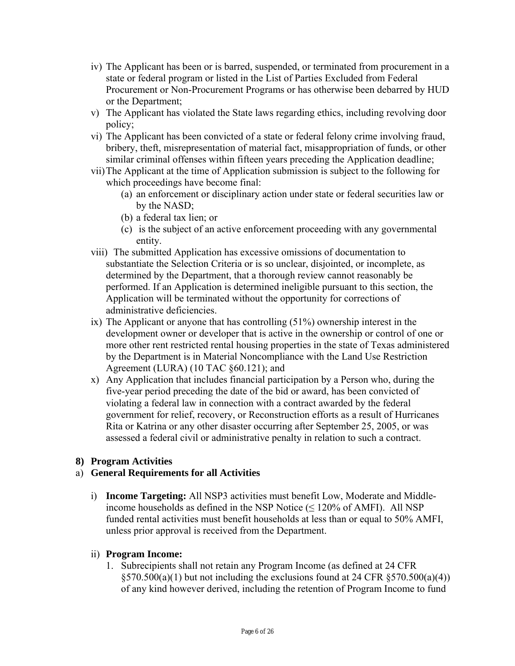- iv) The Applicant has been or is barred, suspended, or terminated from procurement in a state or federal program or listed in the List of Parties Excluded from Federal Procurement or Non-Procurement Programs or has otherwise been debarred by HUD or the Department;
- v) The Applicant has violated the State laws regarding ethics, including revolving door policy;
- vi) The Applicant has been convicted of a state or federal felony crime involving fraud, bribery, theft, misrepresentation of material fact, misappropriation of funds, or other similar criminal offenses within fifteen years preceding the Application deadline;
- vii)The Applicant at the time of Application submission is subject to the following for which proceedings have become final:
	- (a) an enforcement or disciplinary action under state or federal securities law or by the NASD;
	- (b) a federal tax lien; or
	- (c) is the subject of an active enforcement proceeding with any governmental entity.
- viii) The submitted Application has excessive omissions of documentation to substantiate the Selection Criteria or is so unclear, disjointed, or incomplete, as determined by the Department, that a thorough review cannot reasonably be performed. If an Application is determined ineligible pursuant to this section, the Application will be terminated without the opportunity for corrections of administrative deficiencies.
- ix) The Applicant or anyone that has controlling (51%) ownership interest in the development owner or developer that is active in the ownership or control of one or more other rent restricted rental housing properties in the state of Texas administered by the Department is in Material Noncompliance with the Land Use Restriction Agreement (LURA) (10 TAC §60.121); and
- x) Any Application that includes financial participation by a Person who, during the five-year period preceding the date of the bid or award, has been convicted of violating a federal law in connection with a contract awarded by the federal government for relief, recovery, or Reconstruction efforts as a result of Hurricanes Rita or Katrina or any other disaster occurring after September 25, 2005, or was assessed a federal civil or administrative penalty in relation to such a contract.

### **8) Program Activities**

### a) **General Requirements for all Activities**

i) **Income Targeting:** All NSP3 activities must benefit Low, Moderate and Middleincome households as defined in the NSP Notice  $(\leq 120\%$  of AMFI). All NSP funded rental activities must benefit households at less than or equal to 50% AMFI, unless prior approval is received from the Department.

### ii) **Program Income:**

1. Subrecipients shall not retain any Program Income (as defined at 24 CFR)  $\S 570.500(a)(1)$  but not including the exclusions found at 24 CFR  $\S 570.500(a)(4)$ ) of any kind however derived, including the retention of Program Income to fund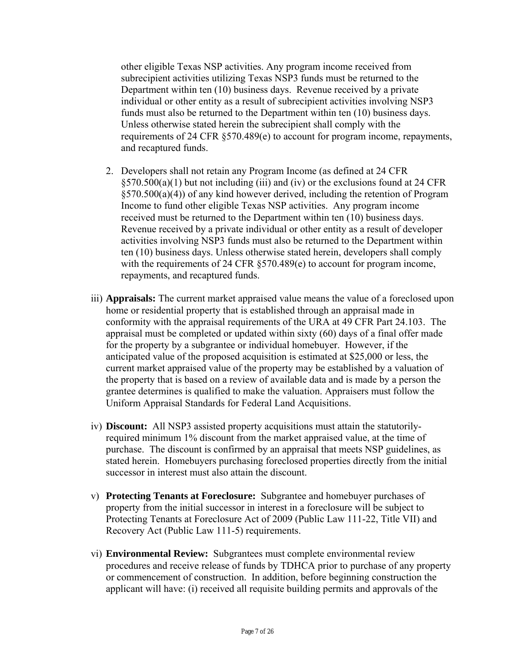other eligible Texas NSP activities. Any program income received from subrecipient activities utilizing Texas NSP3 funds must be returned to the Department within ten (10) business days. Revenue received by a private individual or other entity as a result of subrecipient activities involving NSP3 funds must also be returned to the Department within ten (10) business days. Unless otherwise stated herein the subrecipient shall comply with the requirements of 24 CFR §570.489(e) to account for program income, repayments, and recaptured funds.

- 2. Developers shall not retain any Program Income (as defined at 24 CFR  $\S 570.500(a)(1)$  but not including (iii) and (iv) or the exclusions found at 24 CFR §570.500(a)(4)) of any kind however derived, including the retention of Program Income to fund other eligible Texas NSP activities. Any program income received must be returned to the Department within ten (10) business days. Revenue received by a private individual or other entity as a result of developer activities involving NSP3 funds must also be returned to the Department within ten (10) business days. Unless otherwise stated herein, developers shall comply with the requirements of 24 CFR §570.489(e) to account for program income, repayments, and recaptured funds.
- iii) **Appraisals:** The current market appraised value means the value of a foreclosed upon home or residential property that is established through an appraisal made in conformity with the appraisal requirements of the URA at 49 CFR Part 24.103. The appraisal must be completed or updated within sixty (60) days of a final offer made for the property by a subgrantee or individual homebuyer. However, if the anticipated value of the proposed acquisition is estimated at \$25,000 or less, the current market appraised value of the property may be established by a valuation of the property that is based on a review of available data and is made by a person the grantee determines is qualified to make the valuation. Appraisers must follow the Uniform Appraisal Standards for Federal Land Acquisitions.
- iv) **Discount:** All NSP3 assisted property acquisitions must attain the statutorilyrequired minimum 1% discount from the market appraised value, at the time of purchase. The discount is confirmed by an appraisal that meets NSP guidelines, as stated herein. Homebuyers purchasing foreclosed properties directly from the initial successor in interest must also attain the discount.
- v) **Protecting Tenants at Foreclosure:** Subgrantee and homebuyer purchases of property from the initial successor in interest in a foreclosure will be subject to Protecting Tenants at Foreclosure Act of 2009 (Public Law 111-22, Title VII) and Recovery Act (Public Law 111-5) requirements.
- vi) **Environmental Review:** Subgrantees must complete environmental review procedures and receive release of funds by TDHCA prior to purchase of any property or commencement of construction. In addition, before beginning construction the applicant will have: (i) received all requisite building permits and approvals of the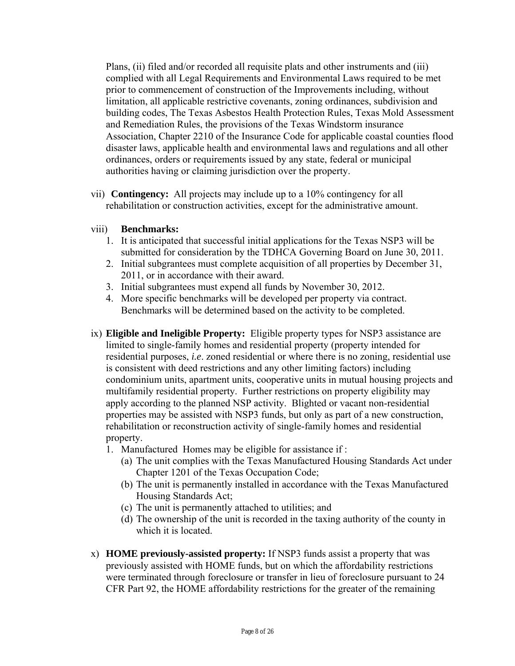Plans, (ii) filed and/or recorded all requisite plats and other instruments and (iii) complied with all Legal Requirements and Environmental Laws required to be met prior to commencement of construction of the Improvements including, without limitation, all applicable restrictive covenants, zoning ordinances, subdivision and building codes, The Texas Asbestos Health Protection Rules, Texas Mold Assessment and Remediation Rules, the provisions of the Texas Windstorm insurance Association, Chapter 2210 of the Insurance Code for applicable coastal counties flood disaster laws, applicable health and environmental laws and regulations and all other ordinances, orders or requirements issued by any state, federal or municipal authorities having or claiming jurisdiction over the property.

 vii) **Contingency:** All projects may include up to a 10% contingency for all rehabilitation or construction activities, except for the administrative amount.

### viii) **Benchmarks:**

- 1. It is anticipated that successful initial applications for the Texas NSP3 will be submitted for consideration by the TDHCA Governing Board on June 30, 2011.
- 2. Initial subgrantees must complete acquisition of all properties by December 31, 2011, or in accordance with their award.
- 3. Initial subgrantees must expend all funds by November 30, 2012.
- 4. More specific benchmarks will be developed per property via contract. Benchmarks will be determined based on the activity to be completed.
- ix) **Eligible and Ineligible Property:** Eligible property types for NSP3 assistance are limited to single-family homes and residential property (property intended for residential purposes, *i.e*. zoned residential or where there is no zoning, residential use is consistent with deed restrictions and any other limiting factors) including condominium units, apartment units, cooperative units in mutual housing projects and multifamily residential property. Further restrictions on property eligibility may apply according to the planned NSP activity. Blighted or vacant non-residential properties may be assisted with NSP3 funds, but only as part of a new construction, rehabilitation or reconstruction activity of single-family homes and residential property.
	- 1. Manufactured Homes may be eligible for assistance if :
		- (a) The unit complies with the Texas Manufactured Housing Standards Act under Chapter 1201 of the Texas Occupation Code;
		- (b) The unit is permanently installed in accordance with the Texas Manufactured Housing Standards Act;
		- (c) The unit is permanently attached to utilities; and
		- (d) The ownership of the unit is recorded in the taxing authority of the county in which it is located.
- x) **HOME previously-assisted property:** If NSP3 funds assist a property that was previously assisted with HOME funds, but on which the affordability restrictions were terminated through foreclosure or transfer in lieu of foreclosure pursuant to 24 CFR Part 92, the HOME affordability restrictions for the greater of the remaining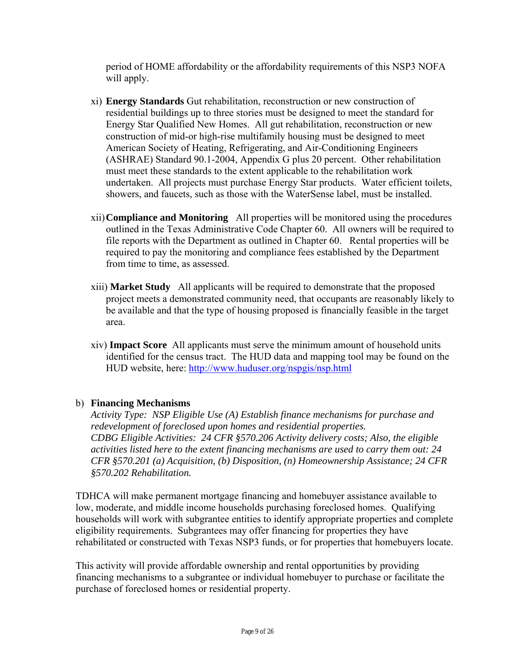period of HOME affordability or the affordability requirements of this NSP3 NOFA will apply.

- xi) **Energy Standards** Gut rehabilitation, reconstruction or new construction of residential buildings up to three stories must be designed to meet the standard for Energy Star Qualified New Homes. All gut rehabilitation, reconstruction or new construction of mid-or high-rise multifamily housing must be designed to meet American Society of Heating, Refrigerating, and Air-Conditioning Engineers (ASHRAE) Standard 90.1-2004, Appendix G plus 20 percent. Other rehabilitation must meet these standards to the extent applicable to the rehabilitation work undertaken. All projects must purchase Energy Star products. Water efficient toilets, showers, and faucets, such as those with the WaterSense label, must be installed.
- xii)**Compliance and Monitoring** All properties will be monitored using the procedures outlined in the Texas Administrative Code Chapter 60. All owners will be required to file reports with the Department as outlined in Chapter 60. Rental properties will be required to pay the monitoring and compliance fees established by the Department from time to time, as assessed.
- xiii) **Market Study** All applicants will be required to demonstrate that the proposed project meets a demonstrated community need, that occupants are reasonably likely to be available and that the type of housing proposed is financially feasible in the target area.
- xiv) **Impact Score** All applicants must serve the minimum amount of household units identified for the census tract. The HUD data and mapping tool may be found on the HUD website, here: http://www.huduser.org/nspgis/nsp.html

### b) **Financing Mechanisms**

*Activity Type: NSP Eligible Use (A) Establish finance mechanisms for purchase and redevelopment of foreclosed upon homes and residential properties. CDBG Eligible Activities: 24 CFR §570.206 Activity delivery costs; Also, the eligible activities listed here to the extent financing mechanisms are used to carry them out: 24 CFR §570.201 (a) Acquisition, (b) Disposition, (n) Homeownership Assistance; 24 CFR §570.202 Rehabilitation.* 

TDHCA will make permanent mortgage financing and homebuyer assistance available to low, moderate, and middle income households purchasing foreclosed homes. Qualifying households will work with subgrantee entities to identify appropriate properties and complete eligibility requirements. Subgrantees may offer financing for properties they have rehabilitated or constructed with Texas NSP3 funds, or for properties that homebuyers locate.

This activity will provide affordable ownership and rental opportunities by providing financing mechanisms to a subgrantee or individual homebuyer to purchase or facilitate the purchase of foreclosed homes or residential property.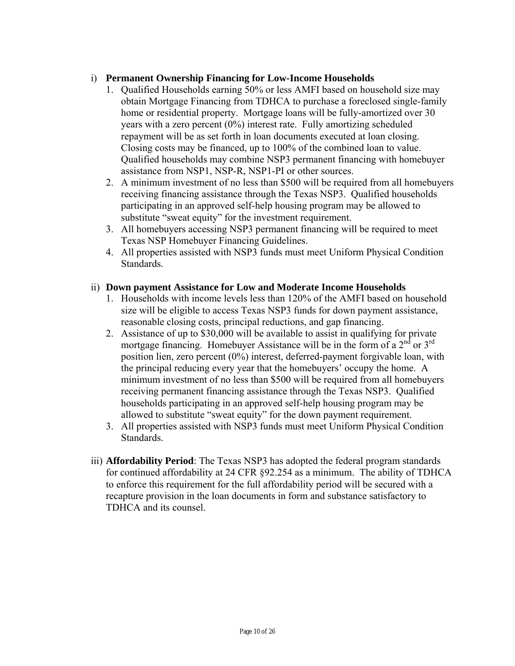# i) **Permanent Ownership Financing for Low-Income Households**

- repayment will be as set forth in loan documents executed at loan closing. 1. Qualified Households earning 50% or less AMFI based on household size may obtain Mortgage Financing from TDHCA to purchase a foreclosed single-family home or residential property. Mortgage loans will be fully-amortized over 30 years with a zero percent (0%) interest rate. Fully amortizing scheduled Closing costs may be financed, up to 100% of the combined loan to value. Qualified households may combine NSP3 permanent financing with homebuyer assistance from NSP1, NSP-R, NSP1-PI or other sources.
- 2. A minimum investment of no less than \$500 will be required from all homebuyers receiving financing assistance through the Texas NSP3. Qualified households participating in an approved self-help housing program may be allowed to substitute "sweat equity" for the investment requirement.
- 3. All homebuyers accessing NSP3 permanent financing will be required to meet Texas NSP Homebuyer Financing Guidelines.
- 4. All properties assisted with NSP3 funds must meet Uniform Physical Condition Standards.

### ii) Down payment Assistance for Low and Moderate Income Households

- 1. Households with income levels less than 120% of the AMFI based on household size will be eligible to access Texas NSP3 funds for down payment assistance, reasonable closing costs, principal reductions, and gap financing.
- 2. Assistance of up to \$30,000 will be available to assist in qualifying for private mortgage financing. Homebuyer Assistance will be in the form of a  $2<sup>nd</sup>$  or  $3<sup>rd</sup>$ position lien, zero percent (0%) interest, deferred-payment forgivable loan, with the principal reducing every year that the homebuyers' occupy the home. A minimum investment of no less than \$500 will be required from all homebuyers receiving permanent financing assistance through the Texas NSP3. Qualified households participating in an approved self-help housing program may be allowed to substitute "sweat equity" for the down payment requirement.
- 3. All properties assisted with NSP3 funds must meet Uniform Physical Condition **Standards**
- iii) **Affordability Period**: The Texas NSP3 has adopted the federal program standards for continued affordability at 24 CFR §92.254 as a minimum. The ability of TDHCA to enforce this requirement for the full affordability period will be secured with a recapture provision in the loan documents in form and substance satisfactory to TDHCA and its counsel.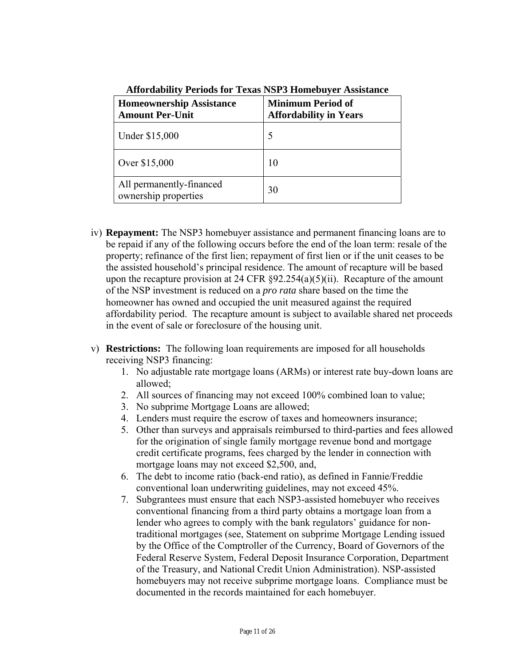| <b>Homeownership Assistance</b><br><b>Amount Per-Unit</b> | <b>Minimum Period of</b><br><b>Affordability in Years</b> |
|-----------------------------------------------------------|-----------------------------------------------------------|
| Under \$15,000                                            |                                                           |
| Over \$15,000                                             | 10                                                        |
| All permanently-financed<br>ownership properties          | 30                                                        |

**Affordability Periods for Texas NSP3 Homebuyer Assistance** 

- iv) **Repayment:** The NSP3 homebuyer assistance and permanent financing loans are to be repaid if any of the following occurs before the end of the loan term: resale of the property; refinance of the first lien; repayment of first lien or if the unit ceases to be the assisted household's principal residence. The amount of recapture will be based upon the recapture provision at 24 CFR  $\S 92.254(a)(5)(ii)$ . Recapture of the amount of the NSP investment is reduced on a *pro rata* share based on the time the homeowner has owned and occupied the unit measured against the required affordability period. The recapture amount is subject to available shared net proceeds in the event of sale or foreclosure of the housing unit.
- v) **Restrictions:** The following loan requirements are imposed for all households receiving NSP3 financing:
	- 1. No adjustable rate mortgage loans (ARMs) or interest rate buy-down loans are allowed;
	- 2. All sources of financing may not exceed 100% combined loan to value;
	- 3. No subprime Mortgage Loans are allowed;
	- 4. Lenders must require the escrow of taxes and homeowners insurance;
	- 5. Other than surveys and appraisals reimbursed to third-parties and fees allowed for the origination of single family mortgage revenue bond and mortgage credit certificate programs, fees charged by the lender in connection with mortgage loans may not exceed \$2,500, and,
	- 6. The debt to income ratio (back-end ratio), as defined in Fannie/Freddie conventional loan underwriting guidelines, may not exceed 45%.
	- 7. Subgrantees must ensure that each NSP3-assisted homebuyer who receives conventional financing from a third party obtains a mortgage loan from a lender who agrees to comply with the bank regulators' guidance for nontraditional mortgages (see, Statement on subprime Mortgage Lending issued by the Office of the Comptroller of the Currency, Board of Governors of the Federal Reserve System, Federal Deposit Insurance Corporation, Department of the Treasury, and National Credit Union Administration). NSP-assisted homebuyers may not receive subprime mortgage loans. Compliance must be documented in the records maintained for each homebuyer.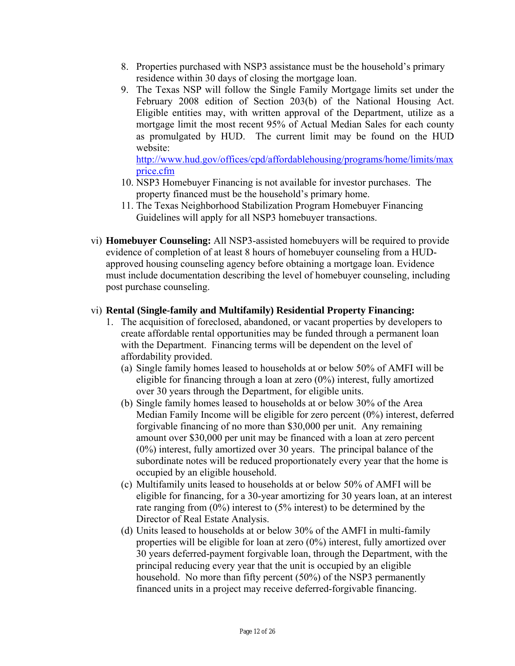- 8. Properties purchased with NSP3 assistance must be the household's primary residence within 30 days of closing the mortgage loan.
- 9. The Texas NSP will follow the Single Family Mortgage limits set under the February 2008 edition of Section 203(b) of the National Housing Act. Eligible entities may, with written approval of the Department, utilize as a mortgage limit the most recent 95% of Actual Median Sales for each county as promulgated by HUD. The current limit may be found on the HUD website:

price.cfm http://www.hud.gov/offices/cpd/affordablehousing/programs/home/limits/max

- 10. NSP3 Homebuyer Financing is not available for investor purchases. The property financed must be the household's primary home.
- 11. The Texas Neighborhood Stabilization Program Homebuyer Financing Guidelines will apply for all NSP3 homebuyer transactions.
- vi) **Homebuyer Counseling:** All NSP3-assisted homebuyers will be required to provide evidence of completion of at least 8 hours of homebuyer counseling from a HUDapproved housing counseling agency before obtaining a mortgage loan. Evidence must include documentation describing the level of homebuyer counseling, including post purchase counseling.

## vi) **Rental (Single-family and Multifamily) Residential Property Financing:**

- 1. The acquisition of foreclosed, abandoned, or vacant properties by developers to create affordable rental opportunities may be funded through a permanent loan with the Department. Financing terms will be dependent on the level of affordability provided.
	- (a) Single family homes leased to households at or below 50% of AMFI will be eligible for financing through a loan at zero (0%) interest, fully amortized over 30 years through the Department, for eligible units.
	- (b) Single family homes leased to households at or below 30% of the Area Median Family Income will be eligible for zero percent (0%) interest, deferred forgivable financing of no more than \$30,000 per unit. Any remaining amount over \$30,000 per unit may be financed with a loan at zero percent (0%) interest, fully amortized over 30 years. The principal balance of the subordinate notes will be reduced proportionately every year that the home is occupied by an eligible household.
	- (c) Multifamily units leased to households at or below 50% of AMFI will be eligible for financing, for a 30-year amortizing for 30 years loan, at an interest rate ranging from (0%) interest to (5% interest) to be determined by the Director of Real Estate Analysis.
	- (d) Units leased to households at or below 30% of the AMFI in multi-family properties will be eligible for loan at zero (0%) interest, fully amortized over 30 years deferred-payment forgivable loan, through the Department, with the principal reducing every year that the unit is occupied by an eligible household. No more than fifty percent (50%) of the NSP3 permanently financed units in a project may receive deferred-forgivable financing.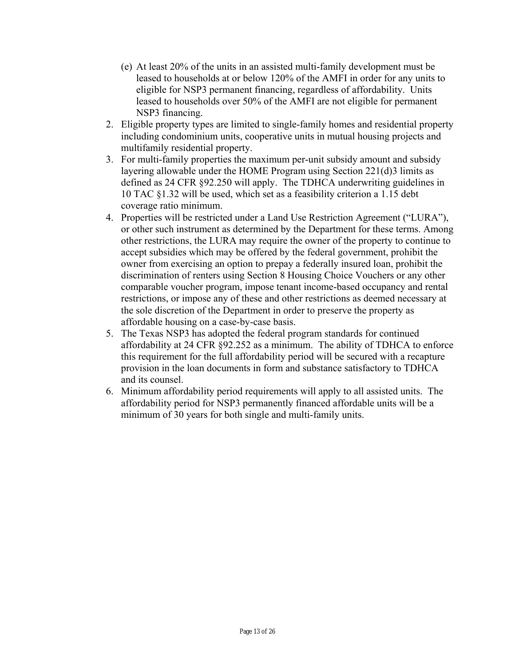- (e) At least 20% of the units in an assisted multi-family development must be leased to households at or below 120% of the AMFI in order for any units to eligible for NSP3 permanent financing, regardless of affordability. Units leased to households over 50% of the AMFI are not eligible for permanent NSP3 financing.
- 2. Eligible property types are limited to single-family homes and residential property including condominium units, cooperative units in mutual housing projects and multifamily residential property.
- 3. For multi-family properties the maximum per-unit subsidy amount and subsidy layering allowable under the HOME Program using Section 221(d)3 limits as defined as 24 CFR §92.250 will apply. The TDHCA underwriting guidelines in 10 TAC §1.32 will be used, which set as a feasibility criterion a 1.15 debt coverage ratio minimum.
- 4. Properties will be restricted under a Land Use Restriction Agreement ("LURA"), or other such instrument as determined by the Department for these terms. Among other restrictions, the LURA may require the owner of the property to continue to accept subsidies which may be offered by the federal government, prohibit the owner from exercising an option to prepay a federally insured loan, prohibit the discrimination of renters using Section 8 Housing Choice Vouchers or any other comparable voucher program, impose tenant income-based occupancy and rental restrictions, or impose any of these and other restrictions as deemed necessary at the sole discretion of the Department in order to preserve the property as affordable housing on a case-by-case basis.
- 5. The Texas NSP3 has adopted the federal program standards for continued affordability at 24 CFR §92.252 as a minimum. The ability of TDHCA to enforce this requirement for the full affordability period will be secured with a recapture provision in the loan documents in form and substance satisfactory to TDHCA and its counsel.
- 6. Minimum affordability period requirements will apply to all assisted units. The affordability period for NSP3 permanently financed affordable units will be a minimum of 30 years for both single and multi-family units.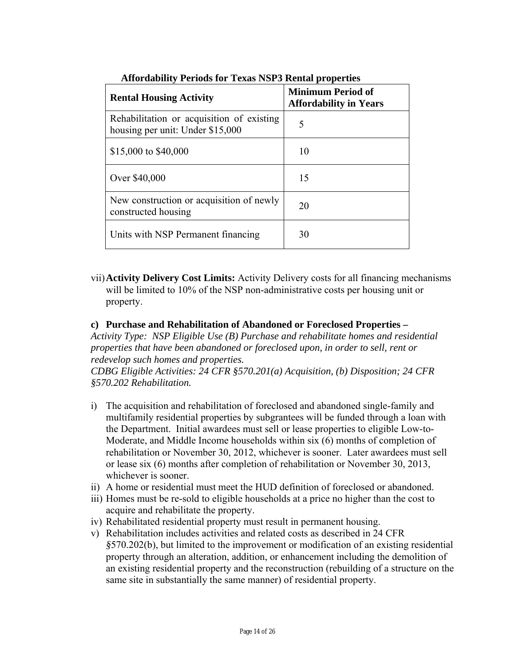| <b>Rental Housing Activity</b>                                                | <b>Minimum Period of</b><br><b>Affordability in Years</b> |
|-------------------------------------------------------------------------------|-----------------------------------------------------------|
| Rehabilitation or acquisition of existing<br>housing per unit: Under \$15,000 | 5                                                         |
| \$15,000 to \$40,000                                                          | 10                                                        |
| Over \$40,000                                                                 | 15                                                        |
| New construction or acquisition of newly<br>constructed housing               | 20                                                        |
| Units with NSP Permanent financing                                            | 30                                                        |

### **Affordability Periods for Texas NSP3 Rental properties**

vii)**Activity Delivery Cost Limits:** Activity Delivery costs for all financing mechanisms will be limited to 10% of the NSP non-administrative costs per housing unit or property.

#### **c) Purchase and Rehabilitation of Abandoned or Foreclosed Properties –**

*Activity Type: NSP Eligible Use (B) Purchase and rehabilitate homes and residential properties that have been abandoned or foreclosed upon, in order to sell, rent or redevelop such homes and properties.* 

*CDBG Eligible Activities: 24 CFR §570.201(a) Acquisition, (b) Disposition; 24 CFR §570.202 Rehabilitation.* 

- i) The acquisition and rehabilitation of foreclosed and abandoned single-family and multifamily residential properties by subgrantees will be funded through a loan with the Department. Initial awardees must sell or lease properties to eligible Low-to-Moderate, and Middle Income households within six (6) months of completion of rehabilitation or November 30, 2012, whichever is sooner. Later awardees must sell or lease six (6) months after completion of rehabilitation or November 30, 2013, whichever is sooner.
- ii) A home or residential must meet the HUD definition of foreclosed or abandoned.
- iii) Homes must be re-sold to eligible households at a price no higher than the cost to acquire and rehabilitate the property.
- iv) Rehabilitated residential property must result in permanent housing.
- v) Rehabilitation includes activities and related costs as described in 24 CFR *§*570.202(b), but limited to the improvement or modification of an existing residential property through an alteration, addition, or enhancement including the demolition of an existing residential property and the reconstruction (rebuilding of a structure on the same site in substantially the same manner) of residential property.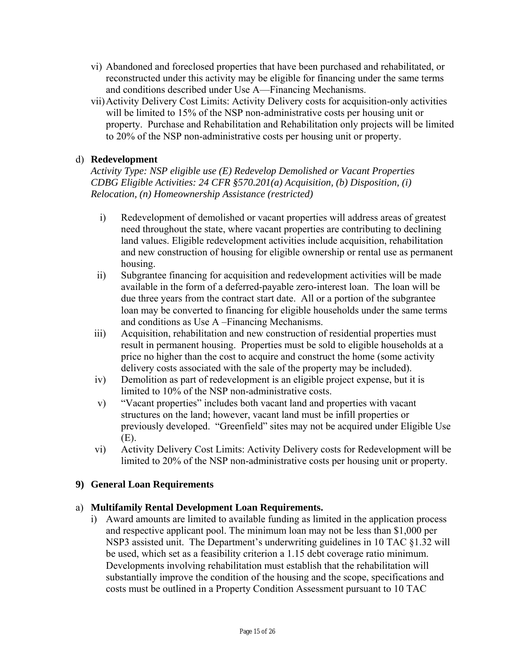- vi) Abandoned and foreclosed properties that have been purchased and rehabilitated, or reconstructed under this activity may be eligible for financing under the same terms and conditions described under Use A—Financing Mechanisms.
- vii)Activity Delivery Cost Limits: Activity Delivery costs for acquisition-only activities will be limited to 15% of the NSP non-administrative costs per housing unit or property. Purchase and Rehabilitation and Rehabilitation only projects will be limited to 20% of the NSP non-administrative costs per housing unit or property.

# d) **Redevelopment**

 *Relocation, (n) Homeownership Assistance (restricted) Activity Type: NSP eligible use (E) Redevelop Demolished or Vacant Properties CDBG Eligible Activities: 24 CFR §570.201(a) Acquisition, (b) Disposition, (i)* 

- i) Redevelopment of demolished or vacant properties will address areas of greatest need throughout the state, where vacant properties are contributing to declining land values. Eligible redevelopment activities include acquisition, rehabilitation and new construction of housing for eligible ownership or rental use as permanent housing.
- ii) Subgrantee financing for acquisition and redevelopment activities will be made available in the form of a deferred-payable zero-interest loan. The loan will be due three years from the contract start date. All or a portion of the subgrantee loan may be converted to financing for eligible households under the same terms and conditions as Use A –Financing Mechanisms.
- iii) Acquisition, rehabilitation and new construction of residential properties must result in permanent housing. Properties must be sold to eligible households at a price no higher than the cost to acquire and construct the home (some activity delivery costs associated with the sale of the property may be included).
- iv) Demolition as part of redevelopment is an eligible project expense, but it is limited to 10% of the NSP non-administrative costs.
- v) "Vacant properties" includes both vacant land and properties with vacant structures on the land; however, vacant land must be infill properties or previously developed. "Greenfield" sites may not be acquired under Eligible Use (E).
- vi) Activity Delivery Cost Limits: Activity Delivery costs for Redevelopment will be limited to 20% of the NSP non-administrative costs per housing unit or property.

### **9) General Loan Requirements**

### a) **Multifamily Rental Development Loan Requirements.**

be used, which set as a feasibility criterion a 1.15 debt coverage ratio minimum. i) Award amounts are limited to available funding as limited in the application process and respective applicant pool. The minimum loan may not be less than \$1,000 per NSP3 assisted unit. The Department's underwriting guidelines in 10 TAC §1.32 will Developments involving rehabilitation must establish that the rehabilitation will substantially improve the condition of the housing and the scope, specifications and costs must be outlined in a Property Condition Assessment pursuant to 10 TAC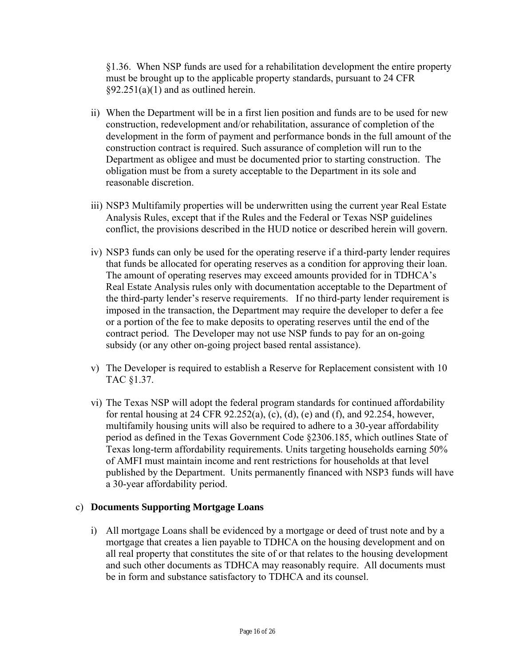§1.36. When NSP funds are used for a rehabilitation development the entire property must be brought up to the applicable property standards, pursuant to 24 CFR  $§92.251(a)(1)$  and as outlined herein.

- ii) When the Department will be in a first lien position and funds are to be used for new construction, redevelopment and/or rehabilitation, assurance of completion of the development in the form of payment and performance bonds in the full amount of the construction contract is required. Such assurance of completion will run to the Department as obligee and must be documented prior to starting construction. The obligation must be from a surety acceptable to the Department in its sole and reasonable discretion.
- iii) NSP3 Multifamily properties will be underwritten using the current year Real Estate Analysis Rules, except that if the Rules and the Federal or Texas NSP guidelines conflict, the provisions described in the HUD notice or described herein will govern.
- iv) NSP3 funds can only be used for the operating reserve if a third-party lender requires that funds be allocated for operating reserves as a condition for approving their loan. The amount of operating reserves may exceed amounts provided for in TDHCA's Real Estate Analysis rules only with documentation acceptable to the Department of the third-party lender's reserve requirements. If no third-party lender requirement is imposed in the transaction, the Department may require the developer to defer a fee or a portion of the fee to make deposits to operating reserves until the end of the contract period. The Developer may not use NSP funds to pay for an on-going subsidy (or any other on-going project based rental assistance).
- v) The Developer is required to establish a Reserve for Replacement consistent with 10 TAC §1.37.
- vi) The Texas NSP will adopt the federal program standards for continued affordability for rental housing at 24 CFR 92.252(a), (c), (d), (e) and (f), and 92.254, however, multifamily housing units will also be required to adhere to a 30-year affordability period as defined in the Texas Government Code §2306.185, which outlines State of Texas long-term affordability requirements. Units targeting households earning 50% of AMFI must maintain income and rent restrictions for households at that level published by the Department. Units permanently financed with NSP3 funds will have a 30-year affordability period.

#### c) **Documents Supporting Mortgage Loans**

i) All mortgage Loans shall be evidenced by a mortgage or deed of trust note and by a mortgage that creates a lien payable to TDHCA on the housing development and on all real property that constitutes the site of or that relates to the housing development and such other documents as TDHCA may reasonably require. All documents must be in form and substance satisfactory to TDHCA and its counsel.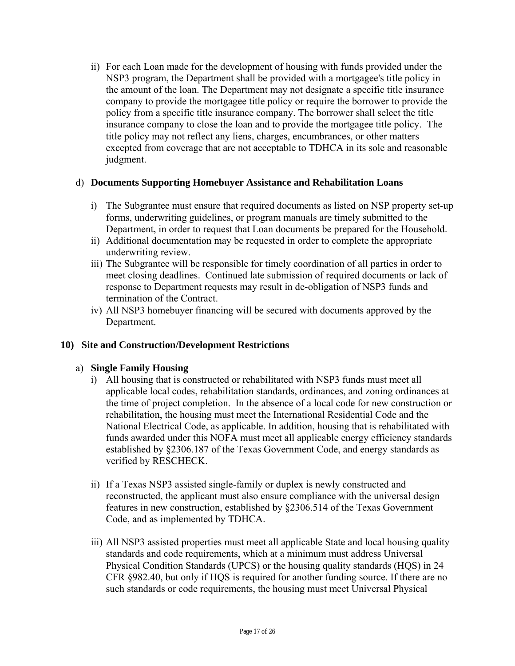ii) For each Loan made for the development of housing with funds provided under the NSP3 program, the Department shall be provided with a mortgagee's title policy in the amount of the loan. The Department may not designate a specific title insurance company to provide the mortgagee title policy or require the borrower to provide the policy from a specific title insurance company. The borrower shall select the title insurance company to close the loan and to provide the mortgagee title policy. The title policy may not reflect any liens, charges, encumbrances, or other matters excepted from coverage that are not acceptable to TDHCA in its sole and reasonable judgment.

### d) **Documents Supporting Homebuyer Assistance and Rehabilitation Loans**

- i) The Subgrantee must ensure that required documents as listed on NSP property set-up forms, underwriting guidelines, or program manuals are timely submitted to the Department, in order to request that Loan documents be prepared for the Household.
- ii) Additional documentation may be requested in order to complete the appropriate underwriting review.
- iii) The Subgrantee will be responsible for timely coordination of all parties in order to meet closing deadlines. Continued late submission of required documents or lack of response to Department requests may result in de-obligation of NSP3 funds and termination of the Contract.
- iv) All NSP3 homebuyer financing will be secured with documents approved by the Department.

### **10) Site and Construction/Development Restrictions**

### a) **Single Family Housing**

- i) All housing that is constructed or rehabilitated with NSP3 funds must meet all applicable local codes, rehabilitation standards, ordinances, and zoning ordinances at the time of project completion. In the absence of a local code for new construction or rehabilitation, the housing must meet the International Residential Code and the National Electrical Code, as applicable. In addition, housing that is rehabilitated with funds awarded under this NOFA must meet all applicable energy efficiency standards established by §2306.187 of the Texas Government Code, and energy standards as verified by RESCHECK.
- ii) If a Texas NSP3 assisted single-family or duplex is newly constructed and reconstructed, the applicant must also ensure compliance with the universal design features in new construction, established by §2306.514 of the Texas Government Code, and as implemented by TDHCA.
- iii) All NSP3 assisted properties must meet all applicable State and local housing quality standards and code requirements, which at a minimum must address Universal Physical Condition Standards (UPCS) or the housing quality standards (HQS) in 24 CFR §982.40, but only if HQS is required for another funding source. If there are no such standards or code requirements, the housing must meet Universal Physical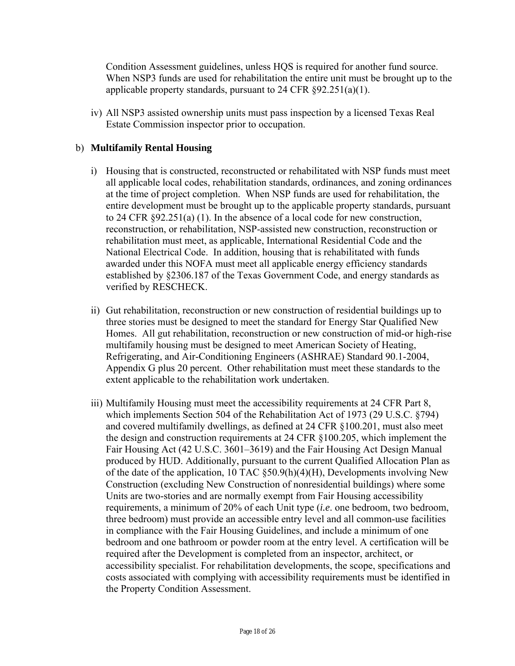Condition Assessment guidelines, unless HQS is required for another fund source. When NSP3 funds are used for rehabilitation the entire unit must be brought up to the applicable property standards, pursuant to  $24$  CFR  $\S 92.251(a)(1)$ .

iv) All NSP3 assisted ownership units must pass inspection by a licensed Texas Real Estate Commission inspector prior to occupation.

### b) **Multifamily Rental Housing**

- i) Housing that is constructed, reconstructed or rehabilitated with NSP funds must meet all applicable local codes, rehabilitation standards, ordinances, and zoning ordinances at the time of project completion. When NSP funds are used for rehabilitation, the entire development must be brought up to the applicable property standards, pursuant to 24 CFR §92.251(a) (1). In the absence of a local code for new construction, reconstruction, or rehabilitation, NSP-assisted new construction, reconstruction or rehabilitation must meet, as applicable, International Residential Code and the National Electrical Code. In addition, housing that is rehabilitated with funds awarded under this NOFA must meet all applicable energy efficiency standards established by §2306.187 of the Texas Government Code, and energy standards as verified by RESCHECK.
- ii) Gut rehabilitation, reconstruction or new construction of residential buildings up to three stories must be designed to meet the standard for Energy Star Qualified New Homes. All gut rehabilitation, reconstruction or new construction of mid-or high-rise multifamily housing must be designed to meet American Society of Heating, Refrigerating, and Air-Conditioning Engineers (ASHRAE) Standard 90.1-2004, Appendix G plus 20 percent. Other rehabilitation must meet these standards to the extent applicable to the rehabilitation work undertaken.
- iii) Multifamily Housing must meet the accessibility requirements at 24 CFR Part 8, which implements Section 504 of the Rehabilitation Act of 1973 (29 U.S.C. §794) and covered multifamily dwellings, as defined at 24 CFR §100.201, must also meet the design and construction requirements at 24 CFR §100.205, which implement the Fair Housing Act (42 U.S.C. 3601–3619) and the Fair Housing Act Design Manual produced by HUD. Additionally, pursuant to the current Qualified Allocation Plan as of the date of the application, 10 TAC §50.9(h)(4)(H), Developments involving New Construction (excluding New Construction of nonresidential buildings) where some Units are two-stories and are normally exempt from Fair Housing accessibility requirements, a minimum of 20% of each Unit type (*i.e*. one bedroom, two bedroom, three bedroom) must provide an accessible entry level and all common-use facilities in compliance with the Fair Housing Guidelines, and include a minimum of one bedroom and one bathroom or powder room at the entry level. A certification will be required after the Development is completed from an inspector, architect, or accessibility specialist. For rehabilitation developments, the scope, specifications and costs associated with complying with accessibility requirements must be identified in the Property Condition Assessment.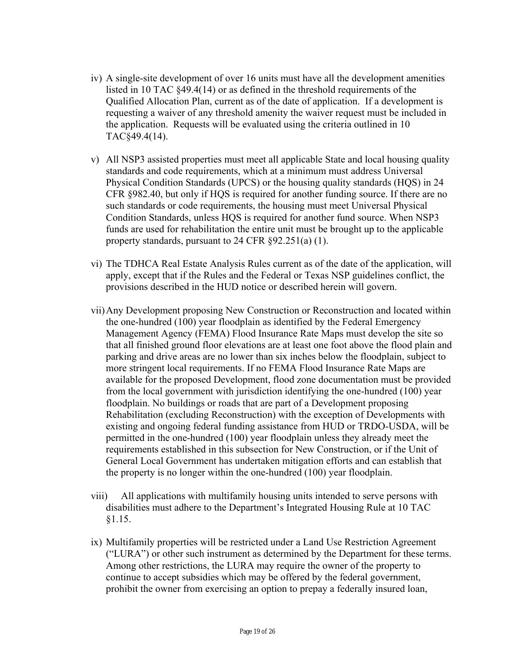- iv) A single-site development of over 16 units must have all the development amenities listed in 10 TAC §49.4(14) or as defined in the threshold requirements of the Qualified Allocation Plan, current as of the date of application. If a development is requesting a waiver of any threshold amenity the waiver request must be included in the application. Requests will be evaluated using the criteria outlined in 10 TAC§49.4(14).
- v) All NSP3 assisted properties must meet all applicable State and local housing quality standards and code requirements, which at a minimum must address Universal Physical Condition Standards (UPCS) or the housing quality standards (HQS) in 24 CFR §982.40, but only if HQS is required for another funding source. If there are no such standards or code requirements, the housing must meet Universal Physical Condition Standards, unless HQS is required for another fund source. When NSP3 funds are used for rehabilitation the entire unit must be brought up to the applicable property standards, pursuant to 24 CFR §92.251(a) (1).
- vi) The TDHCA Real Estate Analysis Rules current as of the date of the application, will apply, except that if the Rules and the Federal or Texas NSP guidelines conflict, the provisions described in the HUD notice or described herein will govern.
- vii)Any Development proposing New Construction or Reconstruction and located within the one-hundred (100) year floodplain as identified by the Federal Emergency Management Agency (FEMA) Flood Insurance Rate Maps must develop the site so that all finished ground floor elevations are at least one foot above the flood plain and parking and drive areas are no lower than six inches below the floodplain, subject to more stringent local requirements. If no FEMA Flood Insurance Rate Maps are available for the proposed Development, flood zone documentation must be provided from the local government with jurisdiction identifying the one-hundred (100) year floodplain. No buildings or roads that are part of a Development proposing Rehabilitation (excluding Reconstruction) with the exception of Developments with existing and ongoing federal funding assistance from HUD or TRDO-USDA, will be permitted in the one-hundred (100) year floodplain unless they already meet the requirements established in this subsection for New Construction, or if the Unit of General Local Government has undertaken mitigation efforts and can establish that the property is no longer within the one-hundred (100) year floodplain.
- viii) All applications with multifamily housing units intended to serve persons with disabilities must adhere to the Department's Integrated Housing Rule at 10 TAC §1.15.
- ix) Multifamily properties will be restricted under a Land Use Restriction Agreement ("LURA") or other such instrument as determined by the Department for these terms. Among other restrictions, the LURA may require the owner of the property to continue to accept subsidies which may be offered by the federal government, prohibit the owner from exercising an option to prepay a federally insured loan,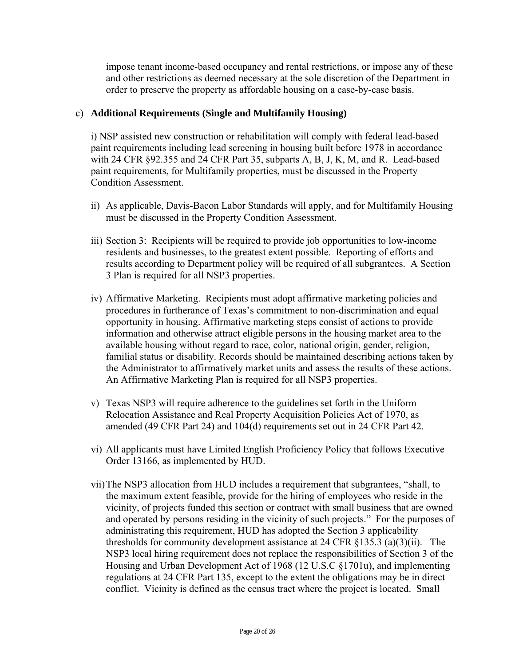impose tenant income-based occupancy and rental restrictions, or impose any of these and other restrictions as deemed necessary at the sole discretion of the Department in order to preserve the property as affordable housing on a case-by-case basis.

### c) **Additional Requirements (Single and Multifamily Housing)**

i) NSP assisted new construction or rehabilitation will comply with federal lead-based paint requirements including lead screening in housing built before 1978 in accordance with 24 CFR §92.355 and 24 CFR Part 35, subparts A, B, J, K, M, and R. Lead-based paint requirements, for Multifamily properties, must be discussed in the Property Condition Assessment.

- ii) As applicable, Davis-Bacon Labor Standards will apply, and for Multifamily Housing must be discussed in the Property Condition Assessment.
- iii) Section 3: Recipients will be required to provide job opportunities to low-income residents and businesses, to the greatest extent possible. Reporting of efforts and results according to Department policy will be required of all subgrantees. A Section 3 Plan is required for all NSP3 properties.
- iv) Affirmative Marketing. Recipients must adopt affirmative marketing policies and procedures in furtherance of Texas's commitment to non-discrimination and equal opportunity in housing. Affirmative marketing steps consist of actions to provide information and otherwise attract eligible persons in the housing market area to the available housing without regard to race, color, national origin, gender, religion, familial status or disability. Records should be maintained describing actions taken by the Administrator to affirmatively market units and assess the results of these actions. An Affirmative Marketing Plan is required for all NSP3 properties.
- v) Texas NSP3 will require adherence to the guidelines set forth in the Uniform Relocation Assistance and Real Property Acquisition Policies Act of 1970, as amended (49 CFR Part 24) and 104(d) requirements set out in 24 CFR Part 42.
- vi) All applicants must have Limited English Proficiency Policy that follows Executive Order 13166, as implemented by HUD.
- vii)The NSP3 allocation from HUD includes a requirement that subgrantees, "shall, to the maximum extent feasible, provide for the hiring of employees who reside in the vicinity, of projects funded this section or contract with small business that are owned and operated by persons residing in the vicinity of such projects." For the purposes of administrating this requirement, HUD has adopted the Section 3 applicability thresholds for community development assistance at 24 CFR §135.3 (a)(3)(ii). The NSP3 local hiring requirement does not replace the responsibilities of Section 3 of the Housing and Urban Development Act of 1968 (12 U.S.C §1701u), and implementing regulations at 24 CFR Part 135, except to the extent the obligations may be in direct conflict. Vicinity is defined as the census tract where the project is located. Small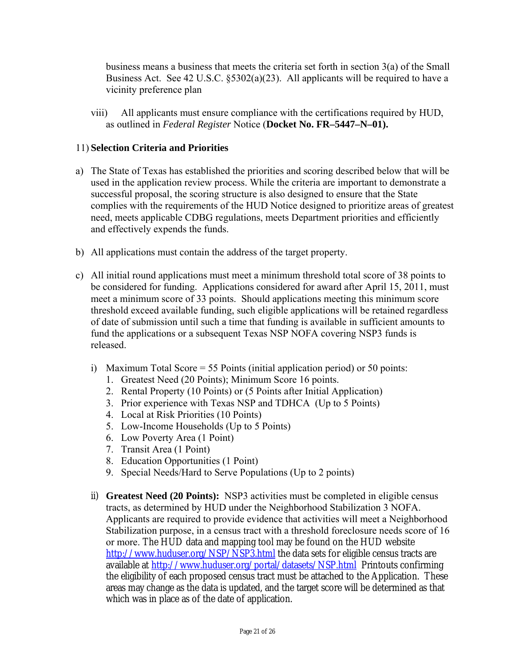business means a business that meets the criteria set forth in section 3(a) of the Small Business Act. See 42 U.S.C. §5302(a)(23). All applicants will be required to have a vicinity preference plan

viii) All applicants must ensure compliance with the certifications required by HUD, as outlined in *Federal Register* Notice (**Docket No. FR–5447–N–01).** 

### 11) **Selection Criteria and Priorities**

- a) The State of Texas has established the priorities and scoring described below that will be used in the application review process. While the criteria are important to demonstrate a successful proposal, the scoring structure is also designed to ensure that the State complies with the requirements of the HUD Notice designed to prioritize areas of greatest need, meets applicable CDBG regulations, meets Department priorities and efficiently and effectively expends the funds.
- b) All applications must contain the address of the target property.
- c) All initial round applications must meet a minimum threshold total score of 38 points to be considered for funding. Applications considered for award after April 15, 2011, must meet a minimum score of 33 points. Should applications meeting this minimum score threshold exceed available funding, such eligible applications will be retained regardless of date of submission until such a time that funding is available in sufficient amounts to fund the applications or a subsequent Texas NSP NOFA covering NSP3 funds is released.
	- i) Maximum Total Score  $= 55$  Points (initial application period) or 50 points:
		- 1. Greatest Need (20 Points); Minimum Score 16 points.
		- 2. Rental Property (10 Points) or (5 Points after Initial Application)
		- 3. Prior experience with Texas NSP and TDHCA (Up to 5 Points)
		- 4. Local at Risk Priorities (10 Points)
		- 5. Low-Income Households (Up to 5 Points)
		- 6. Low Poverty Area (1 Point)
		- 7. Transit Area (1 Point)
		- 8. Education Opportunities (1 Point)
		- 9. Special Needs/Hard to Serve Populations (Up to 2 points)
	- ii) **Greatest Need (20 Points):** NSP3 activities must be completed in eligible census tracts, as determined by HUD under the Neighborhood Stabilization 3 NOFA. Applicants are required to provide evidence that activities will meet a Neighborhood Stabilization purpose, in a census tract with a threshold foreclosure needs score of 16 or more. The HUD data and mapping tool may be found on the HUD website http://www.huduser.org/NSP/NSP3.html the data sets for eligible census tracts are available at http://www.huduser.org/portal/datasets/NSP.html Printouts confirming the eligibility of each proposed census tract must be attached to the Application. These areas may change as the data is updated, and the target score will be determined as that which was in place as of the date of application.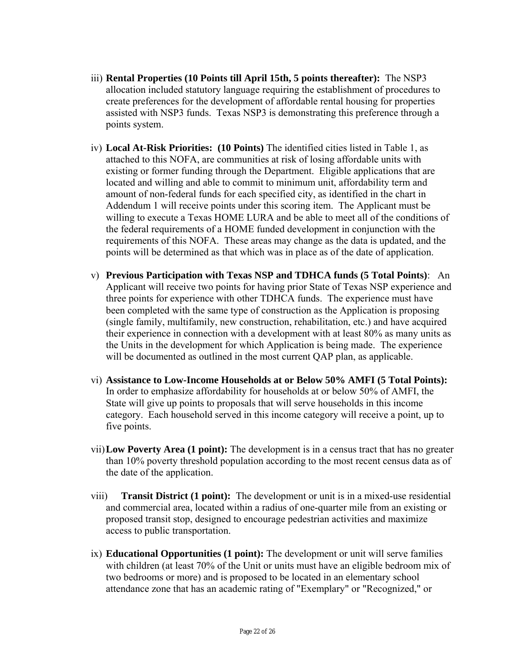- iii) **Rental Properties (10 Points till April 15th, 5 points thereafter):** The NSP3 allocation included statutory language requiring the establishment of procedures to create preferences for the development of affordable rental housing for properties assisted with NSP3 funds. Texas NSP3 is demonstrating this preference through a points system.
- iv) **Local At-Risk Priorities: (10 Points)** The identified cities listed in Table 1, as attached to this NOFA, are communities at risk of losing affordable units with existing or former funding through the Department. Eligible applications that are located and willing and able to commit to minimum unit, affordability term and amount of non-federal funds for each specified city, as identified in the chart in Addendum 1 will receive points under this scoring item. The Applicant must be willing to execute a Texas HOME LURA and be able to meet all of the conditions of the federal requirements of a HOME funded development in conjunction with the requirements of this NOFA. These areas may change as the data is updated, and the points will be determined as that which was in place as of the date of application.
- v) **Previous Participation with Texas NSP and TDHCA funds (5 Total Points)**: An Applicant will receive two points for having prior State of Texas NSP experience and three points for experience with other TDHCA funds. The experience must have been completed with the same type of construction as the Application is proposing (single family, multifamily, new construction, rehabilitation, etc.) and have acquired their experience in connection with a development with at least 80% as many units as the Units in the development for which Application is being made. The experience will be documented as outlined in the most current QAP plan, as applicable.
- vi) **Assistance to Low-Income Households at or Below 50% AMFI (5 Total Points):**  In order to emphasize affordability for households at or below 50% of AMFI, the State will give up points to proposals that will serve households in this income category. Each household served in this income category will receive a point, up to five points.
- vii)**Low Poverty Area (1 point):** The development is in a census tract that has no greater than 10% poverty threshold population according to the most recent census data as of the date of the application.
- viii) **Transit District (1 point):** The development or unit is in a mixed-use residential and commercial area, located within a radius of one-quarter mile from an existing or proposed transit stop, designed to encourage pedestrian activities and maximize access to public transportation.
- ix) **Educational Opportunities (1 point):** The development or unit will serve families with children (at least 70% of the Unit or units must have an eligible bedroom mix of two bedrooms or more) and is proposed to be located in an elementary school attendance zone that has an academic rating of "Exemplary" or "Recognized," or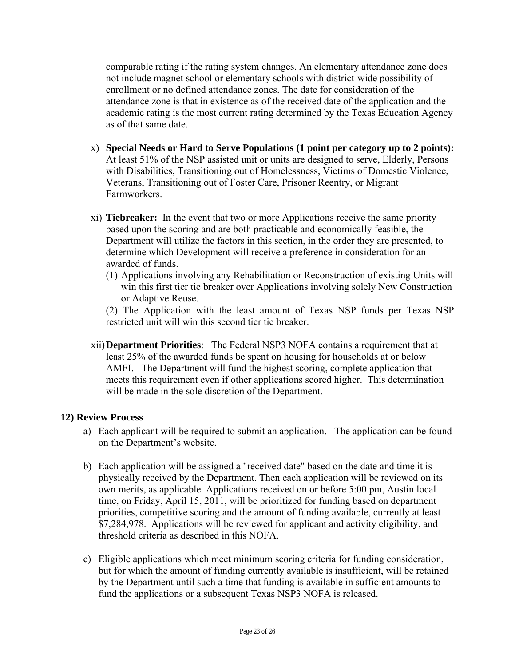comparable rating if the rating system changes. An elementary attendance zone does not include magnet school or elementary schools with district-wide possibility of enrollment or no defined attendance zones. The date for consideration of the attendance zone is that in existence as of the received date of the application and the academic rating is the most current rating determined by the Texas Education Agency as of that same date.

- x) **Special Needs or Hard to Serve Populations (1 point per category up to 2 points):**  At least 51% of the NSP assisted unit or units are designed to serve, Elderly, Persons with Disabilities, Transitioning out of Homelessness, Victims of Domestic Violence, Veterans, Transitioning out of Foster Care, Prisoner Reentry, or Migrant Farmworkers.
- xi) **Tiebreaker:** In the event that two or more Applications receive the same priority based upon the scoring and are both practicable and economically feasible, the Department will utilize the factors in this section, in the order they are presented, to determine which Development will receive a preference in consideration for an awarded of funds.
	- (1) Applications involving any Rehabilitation or Reconstruction of existing Units will win this first tier tie breaker over Applications involving solely New Construction or Adaptive Reuse.

(2) The Application with the least amount of Texas NSP funds per Texas NSP restricted unit will win this second tier tie breaker.

xii)**Department Priorities**: The Federal NSP3 NOFA contains a requirement that at least 25% of the awarded funds be spent on housing for households at or below AMFI. The Department will fund the highest scoring, complete application that meets this requirement even if other applications scored higher. This determination will be made in the sole discretion of the Department.

#### **12) Review Process**

- a) Each applicant will be required to submit an application. The application can be found on the Department's website.
- b) Each application will be assigned a "received date" based on the date and time it is physically received by the Department. Then each application will be reviewed on its own merits, as applicable. Applications received on or before 5:00 pm, Austin local time, on Friday, April 15, 2011, will be prioritized for funding based on department priorities, competitive scoring and the amount of funding available, currently at least \$7,284,978. Applications will be reviewed for applicant and activity eligibility, and threshold criteria as described in this NOFA.
- c) Eligible applications which meet minimum scoring criteria for funding consideration, but for which the amount of funding currently available is insufficient, will be retained by the Department until such a time that funding is available in sufficient amounts to fund the applications or a subsequent Texas NSP3 NOFA is released.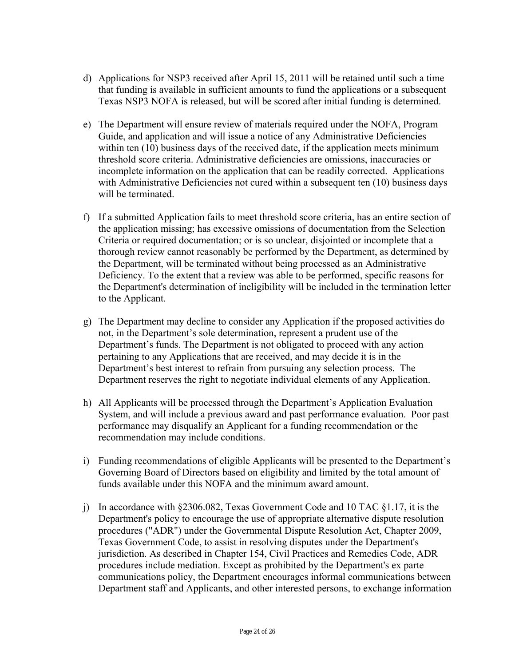- d) Applications for NSP3 received after April 15, 2011 will be retained until such a time that funding is available in sufficient amounts to fund the applications or a subsequent Texas NSP3 NOFA is released, but will be scored after initial funding is determined.
- e) The Department will ensure review of materials required under the NOFA, Program Guide, and application and will issue a notice of any Administrative Deficiencies within ten (10) business days of the received date, if the application meets minimum threshold score criteria. Administrative deficiencies are omissions, inaccuracies or incomplete information on the application that can be readily corrected. Applications with Administrative Deficiencies not cured within a subsequent ten (10) business days will be terminated.
- f) If a submitted Application fails to meet threshold score criteria, has an entire section of the application missing; has excessive omissions of documentation from the Selection Criteria or required documentation; or is so unclear, disjointed or incomplete that a thorough review cannot reasonably be performed by the Department, as determined by the Department, will be terminated without being processed as an Administrative Deficiency. To the extent that a review was able to be performed, specific reasons for the Department's determination of ineligibility will be included in the termination letter to the Applicant.
- g) The Department may decline to consider any Application if the proposed activities do not, in the Department's sole determination, represent a prudent use of the Department's funds. The Department is not obligated to proceed with any action pertaining to any Applications that are received, and may decide it is in the Department's best interest to refrain from pursuing any selection process. The Department reserves the right to negotiate individual elements of any Application.
- h) All Applicants will be processed through the Department's Application Evaluation System, and will include a previous award and past performance evaluation. Poor past performance may disqualify an Applicant for a funding recommendation or the recommendation may include conditions.
- i) Funding recommendations of eligible Applicants will be presented to the Department's Governing Board of Directors based on eligibility and limited by the total amount of funds available under this NOFA and the minimum award amount.
- j) In accordance with  $\S 2306.082$ , Texas Government Code and 10 TAC  $\S 1.17$ , it is the Department's policy to encourage the use of appropriate alternative dispute resolution procedures ("ADR") under the Governmental Dispute Resolution Act, Chapter 2009, Texas Government Code, to assist in resolving disputes under the Department's jurisdiction. As described in Chapter 154, Civil Practices and Remedies Code, ADR procedures include mediation. Except as prohibited by the Department's ex parte communications policy, the Department encourages informal communications between Department staff and Applicants, and other interested persons, to exchange information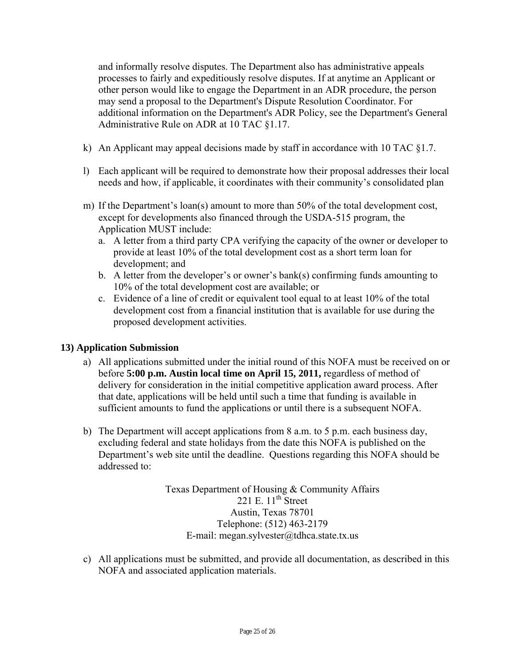and informally resolve disputes. The Department also has administrative appeals processes to fairly and expeditiously resolve disputes. If at anytime an Applicant or other person would like to engage the Department in an ADR procedure, the person may send a proposal to the Department's Dispute Resolution Coordinator. For additional information on the Department's ADR Policy, see the Department's General Administrative Rule on ADR at 10 TAC §1.17.

- k) An Applicant may appeal decisions made by staff in accordance with 10 TAC §1.7.
- l) Each applicant will be required to demonstrate how their proposal addresses their local needs and how, if applicable, it coordinates with their community's consolidated plan
- m) If the Department's loan(s) amount to more than 50% of the total development cost, except for developments also financed through the USDA-515 program, the Application MUST include:
	- a. A letter from a third party CPA verifying the capacity of the owner or developer to provide at least 10% of the total development cost as a short term loan for development; and
	- b. A letter from the developer's or owner's bank(s) confirming funds amounting to 10% of the total development cost are available; or
	- c. Evidence of a line of credit or equivalent tool equal to at least 10% of the total development cost from a financial institution that is available for use during the proposed development activities.

### **13) Application Submission**

- a) All applications submitted under the initial round of this NOFA must be received on or before **5:00 p.m. Austin local time on April 15, 2011,** regardless of method of delivery for consideration in the initial competitive application award process. After that date, applications will be held until such a time that funding is available in sufficient amounts to fund the applications or until there is a subsequent NOFA.
- b) The Department will accept applications from 8 a.m. to 5 p.m. each business day, excluding federal and state holidays from the date this NOFA is published on the Department's web site until the deadline. Questions regarding this NOFA should be addressed to:

Texas Department of Housing & Community Affairs 221 E.  $11^{th}$  Street Austin, Texas 78701 Telephone: (512) 463-2179 E-mail: megan.sylvester@tdhca.state.tx.us

c) All applications must be submitted, and provide all documentation, as described in this NOFA and associated application materials.